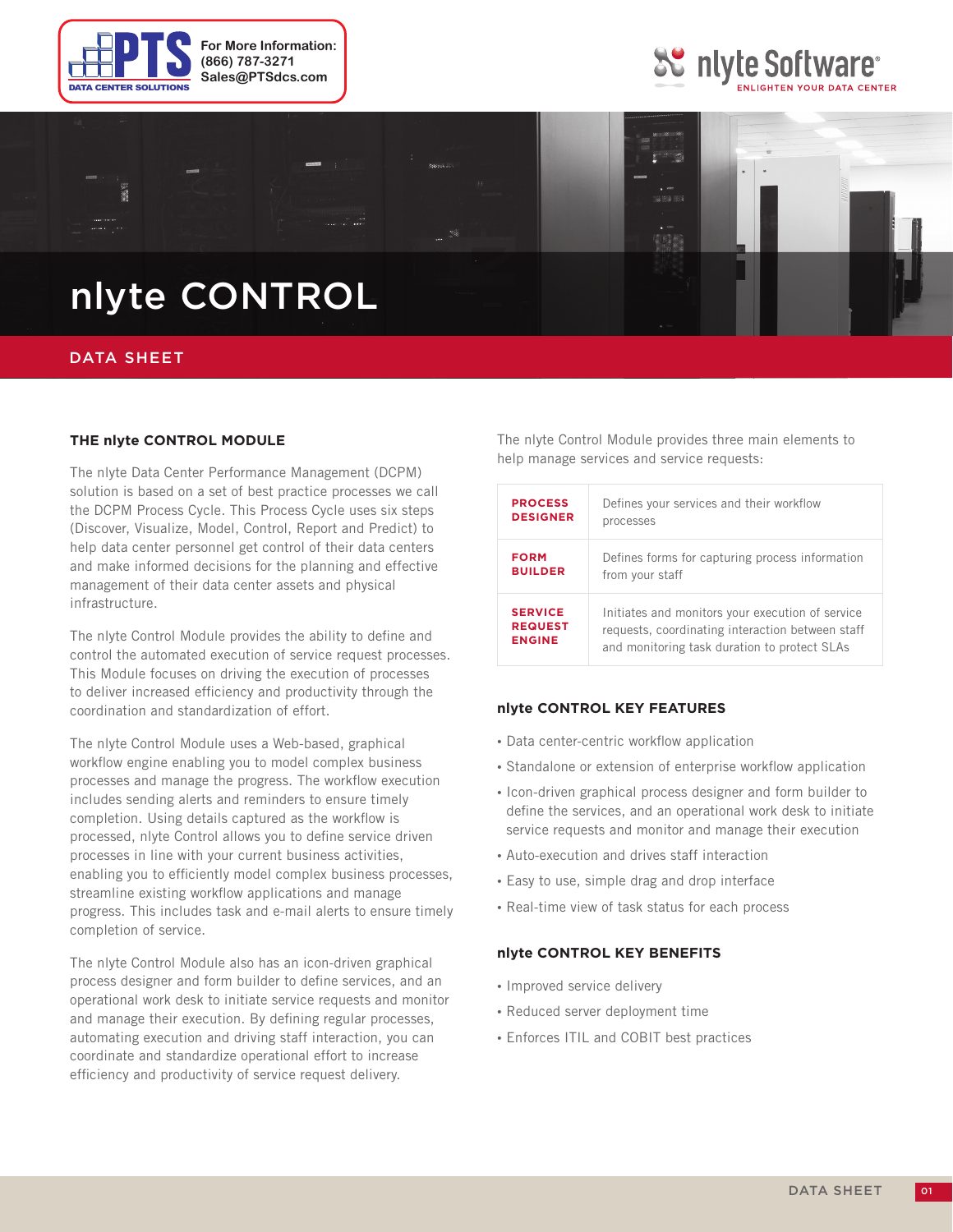





## DATA SHEET

### **THE nlyte CONTROL MODULE**

The nlyte Data Center Performance Management (DCPM) solution is based on a set of best practice processes we call the DCPM Process Cycle. This Process Cycle uses six steps (Discover, Visualize, Model, Control, Report and Predict) to help data center personnel get control of their data centers and make informed decisions for the planning and effective management of their data center assets and physical infrastructure.

The nlyte Control Module provides the ability to define and control the automated execution of service request processes. This Module focuses on driving the execution of processes to deliver increased efficiency and productivity through the coordination and standardization of effort.

The nlyte Control Module uses a Web-based, graphical workflow engine enabling you to model complex business processes and manage the progress. The workflow execution includes sending alerts and reminders to ensure timely completion. Using details captured as the workflow is processed, nlyte Control allows you to define service driven processes in line with your current business activities, enabling you to efficiently model complex business processes, streamline existing workflow applications and manage progress. This includes task and e-mail alerts to ensure timely completion of service.

The nlyte Control Module also has an icon-driven graphical process designer and form builder to define services, and an operational work desk to initiate service requests and monitor and manage their execution. By defining regular processes, automating execution and driving staff interaction, you can coordinate and standardize operational effort to increase efficiency and productivity of service request delivery.

The nlyte Control Module provides three main elements to help manage services and service requests:

| <b>PROCESS</b>  | Defines your services and their workflow         |
|-----------------|--------------------------------------------------|
| <b>DESIGNER</b> | processes                                        |
| <b>FORM</b>     | Defines forms for capturing process information  |
| <b>BUILDER</b>  | from your staff                                  |
| <b>SERVICE</b>  | Initiates and monitors your execution of service |
| <b>REQUEST</b>  | requests, coordinating interaction between staff |
| <b>ENGINE</b>   | and monitoring task duration to protect SLAs     |

#### **nlyte CONTROL KEY FEATURES**

- Data center-centric workflow application
- Standalone or extension of enterprise workflow application
- Icon-driven graphical process designer and form builder to define the services, and an operational work desk to initiate service requests and monitor and manage their execution
- Auto-execution and drives staff interaction
- Easy to use, simple drag and drop interface
- Real-time view of task status for each process

### **nlyte CONTROL KEY BENEFITS**

- Improved service delivery
- Reduced server deployment time
- Enforces ITIL and COBIT best practices

01